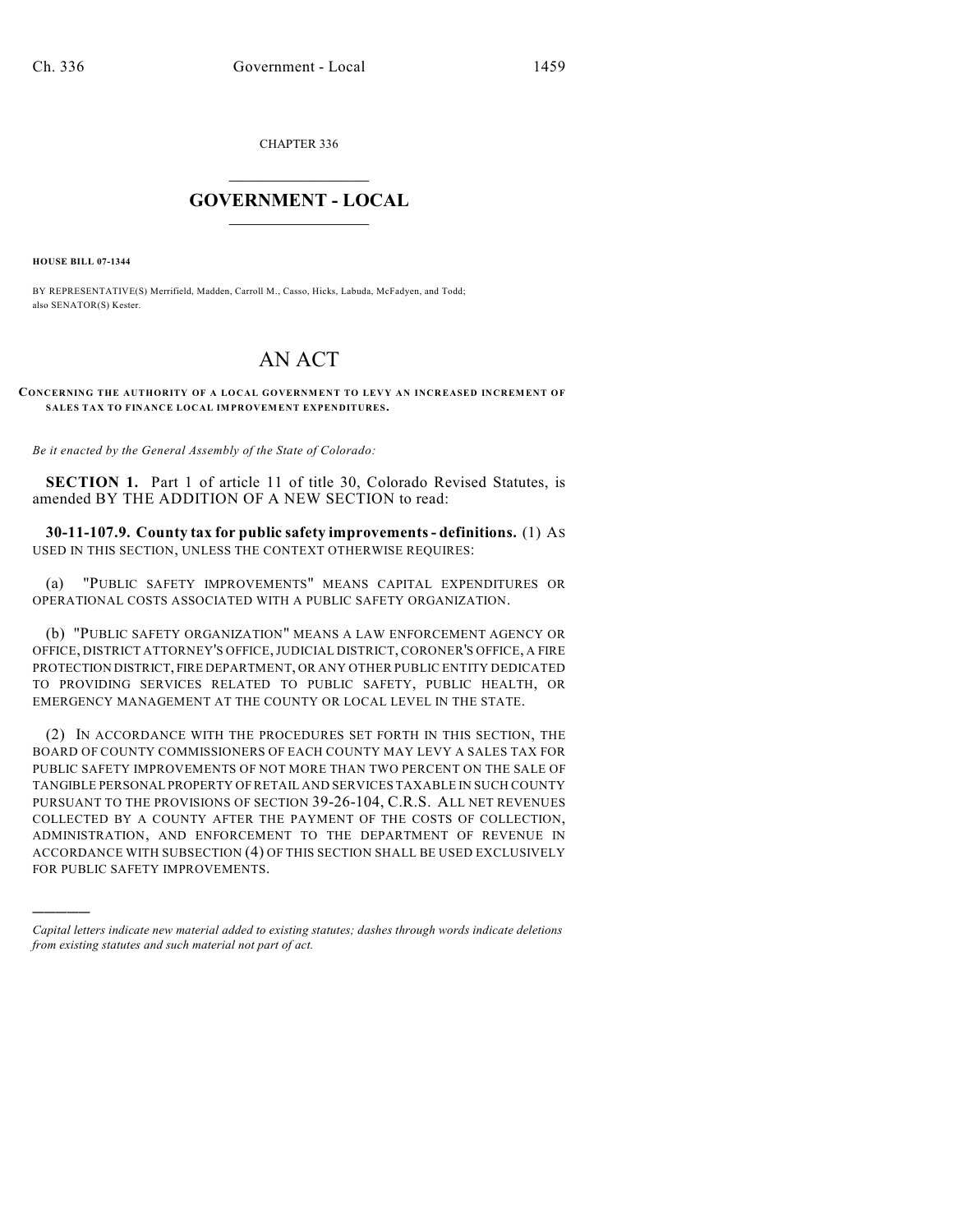CHAPTER 336

## $\mathcal{L}_\text{max}$  . The set of the set of the set of the set of the set of the set of the set of the set of the set of the set of the set of the set of the set of the set of the set of the set of the set of the set of the set **GOVERNMENT - LOCAL**  $\_$

**HOUSE BILL 07-1344**

)))))

BY REPRESENTATIVE(S) Merrifield, Madden, Carroll M., Casso, Hicks, Labuda, McFadyen, and Todd; also SENATOR(S) Kester.

## AN ACT

**CONCERNING THE AUTHORITY OF A LOCAL GOVERNMENT TO LEVY AN INCREASED INCREMENT OF SALES TAX TO FINANCE LOCAL IMPROVEMENT EXPENDITURES.**

*Be it enacted by the General Assembly of the State of Colorado:*

**SECTION 1.** Part 1 of article 11 of title 30, Colorado Revised Statutes, is amended BY THE ADDITION OF A NEW SECTION to read:

**30-11-107.9. County tax for public safety improvements - definitions.** (1) AS USED IN THIS SECTION, UNLESS THE CONTEXT OTHERWISE REQUIRES:

(a) "PUBLIC SAFETY IMPROVEMENTS" MEANS CAPITAL EXPENDITURES OR OPERATIONAL COSTS ASSOCIATED WITH A PUBLIC SAFETY ORGANIZATION.

(b) "PUBLIC SAFETY ORGANIZATION" MEANS A LAW ENFORCEMENT AGENCY OR OFFICE, DISTRICT ATTORNEY'S OFFICE,JUDICIAL DISTRICT, CORONER'S OFFICE, A FIRE PROTECTION DISTRICT, FIRE DEPARTMENT, OR ANY OTHER PUBLIC ENTITY DEDICATED TO PROVIDING SERVICES RELATED TO PUBLIC SAFETY, PUBLIC HEALTH, OR EMERGENCY MANAGEMENT AT THE COUNTY OR LOCAL LEVEL IN THE STATE.

(2) IN ACCORDANCE WITH THE PROCEDURES SET FORTH IN THIS SECTION, THE BOARD OF COUNTY COMMISSIONERS OF EACH COUNTY MAY LEVY A SALES TAX FOR PUBLIC SAFETY IMPROVEMENTS OF NOT MORE THAN TWO PERCENT ON THE SALE OF TANGIBLE PERSONAL PROPERTY OF RETAIL AND SERVICES TAXABLE IN SUCH COUNTY PURSUANT TO THE PROVISIONS OF SECTION 39-26-104, C.R.S. ALL NET REVENUES COLLECTED BY A COUNTY AFTER THE PAYMENT OF THE COSTS OF COLLECTION, ADMINISTRATION, AND ENFORCEMENT TO THE DEPARTMENT OF REVENUE IN ACCORDANCE WITH SUBSECTION (4) OF THIS SECTION SHALL BE USED EXCLUSIVELY FOR PUBLIC SAFETY IMPROVEMENTS.

*Capital letters indicate new material added to existing statutes; dashes through words indicate deletions from existing statutes and such material not part of act.*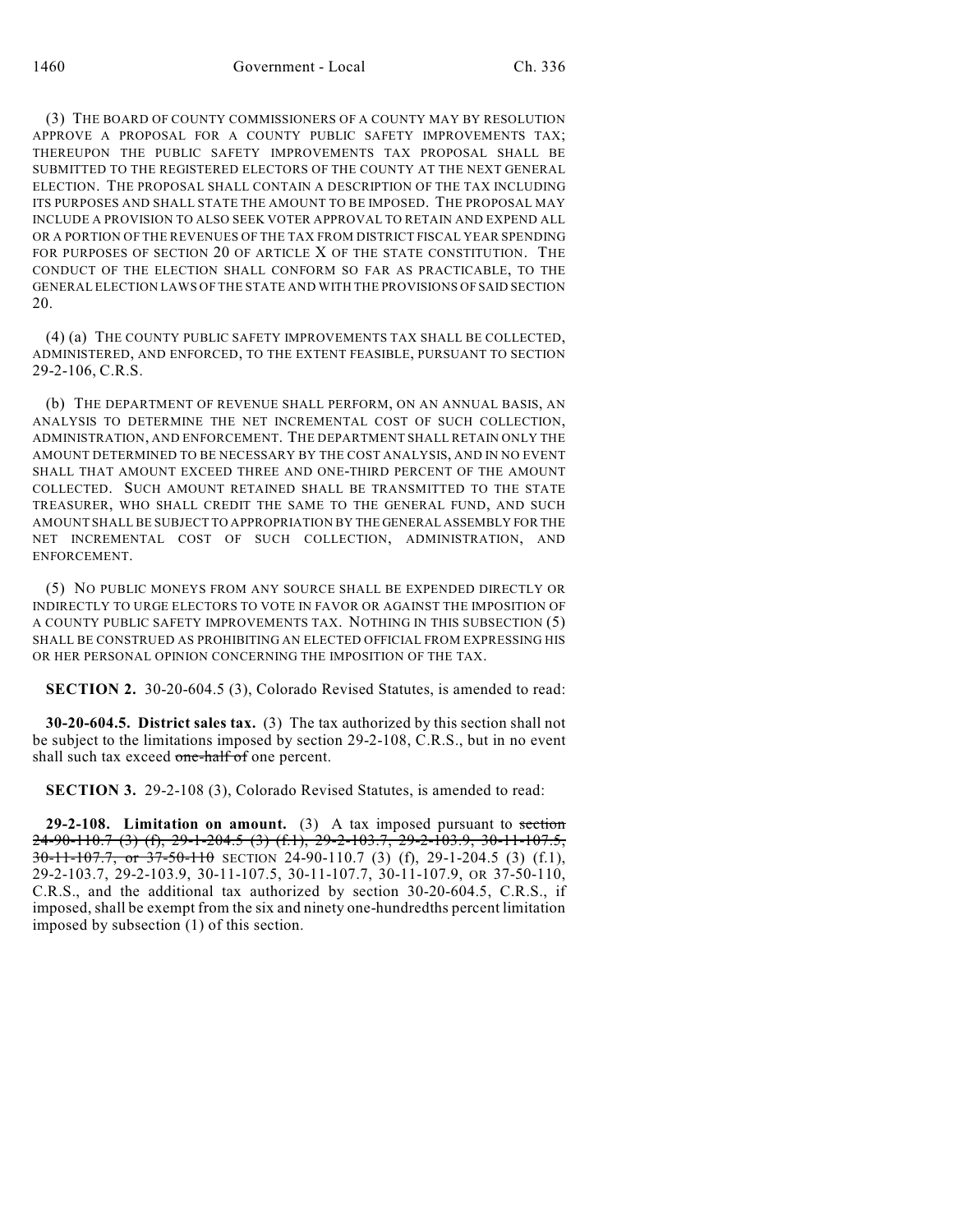(3) THE BOARD OF COUNTY COMMISSIONERS OF A COUNTY MAY BY RESOLUTION APPROVE A PROPOSAL FOR A COUNTY PUBLIC SAFETY IMPROVEMENTS TAX; THEREUPON THE PUBLIC SAFETY IMPROVEMENTS TAX PROPOSAL SHALL BE SUBMITTED TO THE REGISTERED ELECTORS OF THE COUNTY AT THE NEXT GENERAL ELECTION. THE PROPOSAL SHALL CONTAIN A DESCRIPTION OF THE TAX INCLUDING ITS PURPOSES AND SHALL STATE THE AMOUNT TO BE IMPOSED. THE PROPOSAL MAY INCLUDE A PROVISION TO ALSO SEEK VOTER APPROVAL TO RETAIN AND EXPEND ALL OR A PORTION OF THE REVENUES OF THE TAX FROM DISTRICT FISCAL YEAR SPENDING FOR PURPOSES OF SECTION 20 OF ARTICLE X OF THE STATE CONSTITUTION. THE CONDUCT OF THE ELECTION SHALL CONFORM SO FAR AS PRACTICABLE, TO THE GENERAL ELECTION LAWS OF THE STATE AND WITH THE PROVISIONS OF SAID SECTION 20.

(4) (a) THE COUNTY PUBLIC SAFETY IMPROVEMENTS TAX SHALL BE COLLECTED, ADMINISTERED, AND ENFORCED, TO THE EXTENT FEASIBLE, PURSUANT TO SECTION 29-2-106, C.R.S.

(b) THE DEPARTMENT OF REVENUE SHALL PERFORM, ON AN ANNUAL BASIS, AN ANALYSIS TO DETERMINE THE NET INCREMENTAL COST OF SUCH COLLECTION, ADMINISTRATION, AND ENFORCEMENT. THE DEPARTMENT SHALL RETAIN ONLY THE AMOUNT DETERMINED TO BE NECESSARY BY THE COST ANALYSIS, AND IN NO EVENT SHALL THAT AMOUNT EXCEED THREE AND ONE-THIRD PERCENT OF THE AMOUNT COLLECTED. SUCH AMOUNT RETAINED SHALL BE TRANSMITTED TO THE STATE TREASURER, WHO SHALL CREDIT THE SAME TO THE GENERAL FUND, AND SUCH AMOUNT SHALL BE SUBJECT TO APPROPRIATION BY THE GENERAL ASSEMBLY FOR THE NET INCREMENTAL COST OF SUCH COLLECTION, ADMINISTRATION, AND ENFORCEMENT.

(5) NO PUBLIC MONEYS FROM ANY SOURCE SHALL BE EXPENDED DIRECTLY OR INDIRECTLY TO URGE ELECTORS TO VOTE IN FAVOR OR AGAINST THE IMPOSITION OF A COUNTY PUBLIC SAFETY IMPROVEMENTS TAX. NOTHING IN THIS SUBSECTION (5) SHALL BE CONSTRUED AS PROHIBITING AN ELECTED OFFICIAL FROM EXPRESSING HIS OR HER PERSONAL OPINION CONCERNING THE IMPOSITION OF THE TAX.

**SECTION 2.** 30-20-604.5 (3), Colorado Revised Statutes, is amended to read:

**30-20-604.5. District sales tax.** (3) The tax authorized by this section shall not be subject to the limitations imposed by section 29-2-108, C.R.S., but in no event shall such tax exceed one-half of one percent.

**SECTION 3.** 29-2-108 (3), Colorado Revised Statutes, is amended to read:

**29-2-108. Limitation on amount.** (3) A tax imposed pursuant to section 24-90-110.7 (3) (f), 29-1-204.5 (3) (f.1), 29-2-103.7, 29-2-103.9, 30-11-107.5, 30-11-107.7, or 37-50-110 SECTION 24-90-110.7 (3) (f), 29-1-204.5 (3) (f.1), 29-2-103.7, 29-2-103.9, 30-11-107.5, 30-11-107.7, 30-11-107.9, OR 37-50-110, C.R.S., and the additional tax authorized by section 30-20-604.5, C.R.S., if imposed, shall be exempt from the six and ninety one-hundredths percent limitation imposed by subsection (1) of this section.